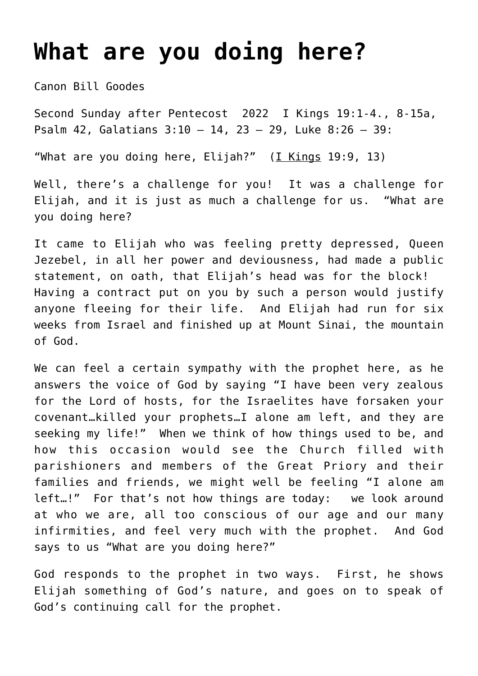## **[What are you doing here?](https://stjohnsadelaide.org.au/what-are-you-doing-here/)**

Canon Bill Goodes

Second Sunday after Pentecost 2022 I Kings 19:1-4., 8-15a, Psalm 42, Galatians 3:10 – 14, 23 – 29, Luke 8:26 – 39:

"What are you doing here, Elijah?"  $(I$  Kings 19:9, 13)

Well, there's a challenge for you! It was a challenge for Elijah, and it is just as much a challenge for us. "What are you doing here?

It came to Elijah who was feeling pretty depressed, Queen Jezebel, in all her power and deviousness, had made a public statement, on oath, that Elijah's head was for the block! Having a contract put on you by such a person would justify anyone fleeing for their life. And Elijah had run for six weeks from Israel and finished up at Mount Sinai, the mountain of God.

We can feel a certain sympathy with the prophet here, as he answers the voice of God by saying "I have been very zealous for the Lord of hosts, for the Israelites have forsaken your covenant…killed your prophets…I alone am left, and they are seeking my life!" When we think of how things used to be, and how this occasion would see the Church filled with parishioners and members of the Great Priory and their families and friends, we might well be feeling "I alone am left…!" For that's not how things are today: we look around at who we are, all too conscious of our age and our many infirmities, and feel very much with the prophet. And God says to us "What are you doing here?"

God responds to the prophet in two ways. First, he shows Elijah something of God's nature, and goes on to speak of God's continuing call for the prophet.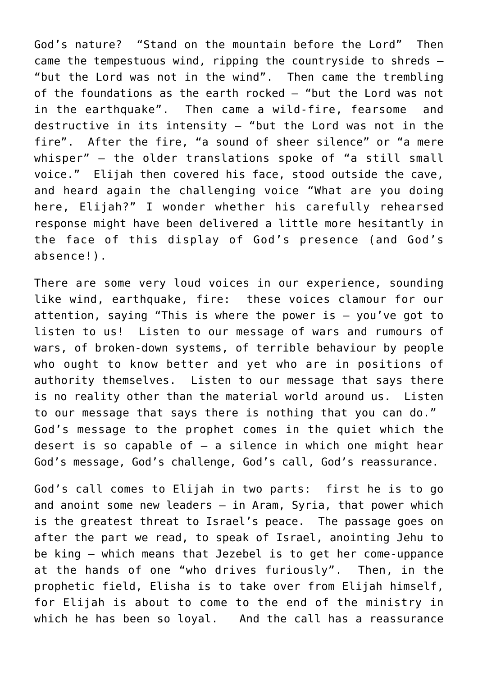God's nature? "Stand on the mountain before the Lord" Then came the tempestuous wind, ripping the countryside to shreds — "but the Lord was not in the wind". Then came the trembling of the foundations as the earth rocked — "but the Lord was not in the earthquake". Then came a wild-fire, fearsome and destructive in its intensity — "but the Lord was not in the fire". After the fire, "a sound of sheer silence" or "a mere whisper" — the older translations spoke of "a still small voice." Elijah then covered his face, stood outside the cave, and heard again the challenging voice "What are you doing here, Elijah?" I wonder whether his carefully rehearsed response might have been delivered a little more hesitantly in the face of this display of God's presence (and God's absence!).

There are some very loud voices in our experience, sounding like wind, earthquake, fire: these voices clamour for our attention, saying "This is where the power is — you've got to listen to us! Listen to our message of wars and rumours of wars, of broken-down systems, of terrible behaviour by people who ought to know better and yet who are in positions of authority themselves. Listen to our message that says there is no reality other than the material world around us. Listen to our message that says there is nothing that you can do." God's message to the prophet comes in the quiet which the desert is so capable of  $-$  a silence in which one might hear God's message, God's challenge, God's call, God's reassurance.

God's call comes to Elijah in two parts: first he is to go and anoint some new leaders — in Aram, Syria, that power which is the greatest threat to Israel's peace. The passage goes on after the part we read, to speak of Israel, anointing Jehu to be king — which means that Jezebel is to get her come-uppance at the hands of one "who drives furiously". Then, in the prophetic field, Elisha is to take over from Elijah himself, for Elijah is about to come to the end of the ministry in which he has been so loyal. And the call has a reassurance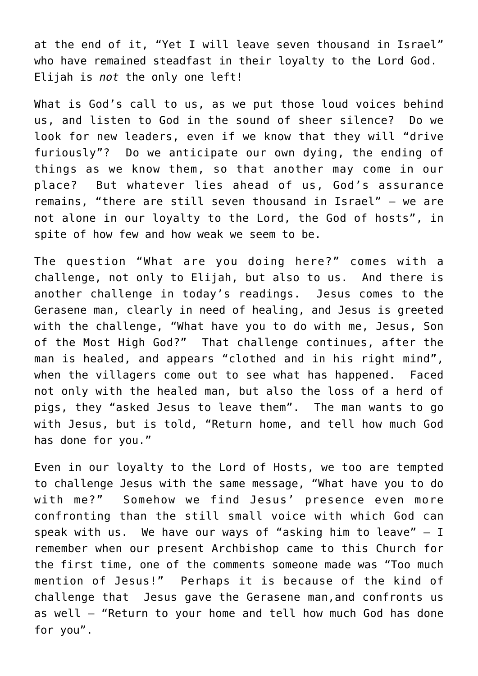at the end of it, "Yet I will leave seven thousand in Israel" who have remained steadfast in their loyalty to the Lord God. Elijah is *not* the only one left!

What is God's call to us, as we put those loud voices behind us, and listen to God in the sound of sheer silence? Do we look for new leaders, even if we know that they will "drive furiously"? Do we anticipate our own dying, the ending of things as we know them, so that another may come in our place? But whatever lies ahead of us, God's assurance remains, "there are still seven thousand in Israel" — we are not alone in our loyalty to the Lord, the God of hosts", in spite of how few and how weak we seem to be.

The question "What are you doing here?" comes with a challenge, not only to Elijah, but also to us. And there is another challenge in today's readings. Jesus comes to the Gerasene man, clearly in need of healing, and Jesus is greeted with the challenge, "What have you to do with me, Jesus, Son of the Most High God?" That challenge continues, after the man is healed, and appears "clothed and in his right mind", when the villagers come out to see what has happened. Faced not only with the healed man, but also the loss of a herd of pigs, they "asked Jesus to leave them". The man wants to go with Jesus, but is told, "Return home, and tell how much God has done for you."

Even in our loyalty to the Lord of Hosts, we too are tempted to challenge Jesus with the same message, "What have you to do with me?" Somehow we find Jesus' presence even more confronting than the still small voice with which God can speak with us. We have our ways of "asking him to leave"  $- I$ remember when our present Archbishop came to this Church for the first time, one of the comments someone made was "Too much mention of Jesus!" Perhaps it is because of the kind of challenge that Jesus gave the Gerasene man,and confronts us as well — "Return to your home and tell how much God has done for you".